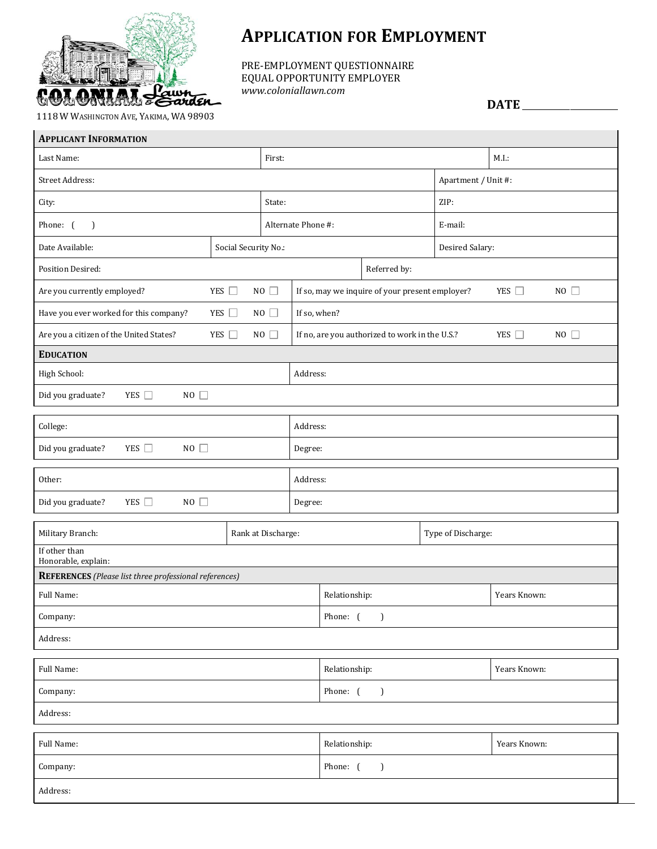

## **APPLICATION FOR EMPLOYMENT**

PRE-EMPLOYMENT QUESTIONNAIRE EQUAL OPPORTUNITY EMPLOYER *www.coloniallawn.com*

**DATE** \_\_\_\_\_\_\_\_\_\_\_\_\_\_\_\_\_\_\_\_\_\_\_\_

1118 W WASHINGTON AVE, YAKIMA, WA 98903

| <b>APPLICANT INFORMATION</b>                                          |                      |                    |                                                                    |                    |                  |                     |  |  |  |
|-----------------------------------------------------------------------|----------------------|--------------------|--------------------------------------------------------------------|--------------------|------------------|---------------------|--|--|--|
| Last Name:<br>First:                                                  |                      |                    |                                                                    |                    |                  | M.I.:               |  |  |  |
| Street Address:                                                       |                      |                    |                                                                    |                    |                  | Apartment / Unit #: |  |  |  |
| State:<br>City:                                                       |                      |                    |                                                                    |                    | ZIP:             |                     |  |  |  |
| Phone: (<br>$\lambda$                                                 |                      |                    | Alternate Phone #:                                                 |                    | E-mail:          |                     |  |  |  |
| Date Available:                                                       | Social Security No.: |                    |                                                                    |                    |                  | Desired Salary:     |  |  |  |
| <b>Position Desired:</b>                                              |                      |                    |                                                                    | Referred by:       |                  |                     |  |  |  |
| Are you currently employed?                                           | YES □                | $NO$ $\Box$        | If so, may we inquire of your present employer?                    |                    | NO<br>YES $\Box$ |                     |  |  |  |
| Have you ever worked for this company?                                | YES $\Box$           | $NO$ $\Box$        | If so, when?                                                       |                    |                  |                     |  |  |  |
| YES $\Box$<br>NO $\square$<br>Are you a citizen of the United States? |                      |                    | YES $\Box$<br>NO<br>If no, are you authorized to work in the U.S.? |                    |                  |                     |  |  |  |
| <b>EDUCATION</b>                                                      |                      |                    |                                                                    |                    |                  |                     |  |  |  |
| High School:                                                          |                      |                    | Address:                                                           |                    |                  |                     |  |  |  |
| Did you graduate?<br>YES $\Box$<br>$NO$ $\Box$                        |                      |                    |                                                                    |                    |                  |                     |  |  |  |
| College:                                                              |                      |                    | Address:                                                           |                    |                  |                     |  |  |  |
| YES $\Box$<br>Did you graduate?<br>$NO$ $\Box$                        |                      |                    | Degree:                                                            |                    |                  |                     |  |  |  |
| Other:                                                                |                      |                    | Address:                                                           |                    |                  |                     |  |  |  |
| $NO$ $\Box$<br>YES $\Box$<br>Did you graduate?                        |                      |                    | Degree:                                                            |                    |                  |                     |  |  |  |
| Military Branch:                                                      |                      | Rank at Discharge: |                                                                    | Type of Discharge: |                  |                     |  |  |  |
| If other than<br>Honorable, explain:                                  |                      |                    |                                                                    |                    |                  |                     |  |  |  |
| <b>REFERENCES</b> (Please list three professional references)         |                      |                    |                                                                    |                    |                  |                     |  |  |  |
| Full Name:                                                            |                      |                    | Relationship:                                                      |                    |                  | Years Known:        |  |  |  |
| Company:                                                              |                      |                    | Phone: (<br>$\overline{\phantom{a}}$                               |                    |                  |                     |  |  |  |
| Address:                                                              |                      |                    |                                                                    |                    |                  |                     |  |  |  |
| Full Name:                                                            |                      |                    | Relationship:                                                      |                    |                  | Years Known:        |  |  |  |
| Company:                                                              |                      |                    | Phone: (<br>$\overline{\phantom{a}}$                               |                    |                  |                     |  |  |  |
| Address:                                                              |                      |                    |                                                                    |                    |                  |                     |  |  |  |
| Full Name:                                                            |                      | Relationship:      |                                                                    |                    | Years Known:     |                     |  |  |  |
| Company:                                                              |                      |                    | Phone: (<br>$\mathcal{L}$                                          |                    |                  |                     |  |  |  |
| Address:                                                              |                      |                    |                                                                    |                    |                  |                     |  |  |  |